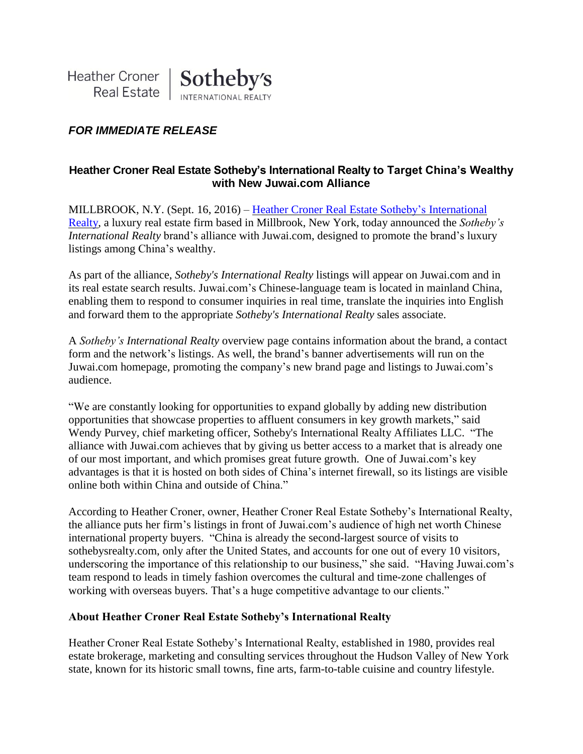# *FOR IMMEDIATE RELEASE*

### **Heather Croner Real Estate Sotheby's International Realty to Target China's Wealthy with New Juwai.com Alliance**

MILLBROOK, N.Y. (Sept. 16, 2016) – Heather Croner Real Estate Sotheby's [International](http://www.hcronerrealestate.com/eng) [Realty,](http://www.hcronerrealestate.com/eng) a luxury real estate firm based in Millbrook, New York, today announced the *Sotheby's International Realty* brand's alliance with Juwai.com, designed to promote the brand's luxury listings among China's wealthy.

As part of the alliance, *Sotheby's International Realty* listings will appear on Juwai.com and in its real estate search results. Juwai.com's Chinese-language team is located in mainland China, enabling them to respond to consumer inquiries in real time, translate the inquiries into English and forward them to the appropriate *Sotheby's International Realty* sales associate.

A *Sotheby's International Realty* overview page contains information about the brand, a contact form and the network's listings. As well, the brand's banner advertisements will run on the Juwai.com homepage, promoting the company's new brand page and listings to Juwai.com's audience.

"We are constantly looking for opportunities to expand globally by adding new distribution opportunities that showcase properties to affluent consumers in key growth markets," said Wendy Purvey, chief marketing officer, Sotheby's International Realty Affiliates LLC. "The alliance with Juwai.com achieves that by giving us better access to a market that is already one of our most important, and which promises great future growth. One of Juwai.com's key advantages is that it is hosted on both sides of China's internet firewall, so its listings are visible online both within China and outside of China."

According to Heather Croner, owner, Heather Croner Real Estate Sotheby's International Realty, the alliance puts her firm's listings in front of Juwai.com's audience of high net worth Chinese international property buyers. "China is already the second-largest source of visits to sothebysrealty.com, only after the United States, and accounts for one out of every 10 visitors, underscoring the importance of this relationship to our business," she said. "Having Juwai.com's team respond to leads in timely fashion overcomes the cultural and time-zone challenges of working with overseas buyers. That's a huge competitive advantage to our clients."

#### **About Heather Croner Real Estate Sotheby's International Realty**

Heather Croner Real Estate Sotheby's International Realty, established in 1980, provides real estate brokerage, marketing and consulting services throughout the Hudson Valley of New York state, known for its historic small towns, fine arts, farm-to-table cuisine and country lifestyle.